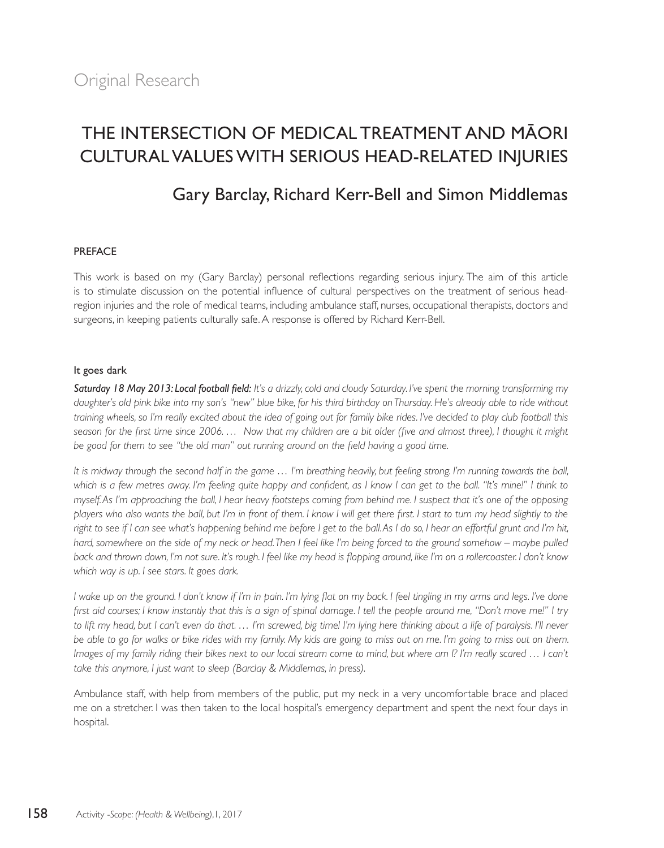# THE INTERSECTION OF MEDICAL TREATMENT AND MÄORI CULTURAL VALUES WITH SERIOUS HEAD-RELATED INJURIES

# Gary Barclay, Richard Kerr-Bell and Simon Middlemas

#### PREFACE

This work is based on my (Gary Barclay) personal reflections regarding serious injury. The aim of this article is to stimulate discussion on the potential influence of cultural perspectives on the treatment of serious headregion injuries and the role of medical teams, including ambulance staff, nurses, occupational therapists, doctors and surgeons, in keeping patients culturally safe. A response is offered by Richard Kerr-Bell.

#### It goes dark

*Saturday 18 May 2013: Local football field: It's a drizzly, cold and cloudy Saturday. I've spent the morning transforming my daughter's old pink bike into my son's "new" blue bike, for his third birthday on Thursday. He's already able to ride without training wheels, so I'm really excited about the idea of going out for family bike rides. I've decided to play club football this*  season for the first time since 2006. ... Now that my children are a bit older (five and almost three), I thought it might *be good for them to see "the old man" out running around on the field having a good time.* 

*It is midway through the second half in the game … I'm breathing heavily, but feeling strong. I'm running towards the ball, which is a few metres away. I'm feeling quite happy and confident, as I know I can get to the ball. "It's mine!" I think to myself. As I'm approaching the ball, I hear heavy footsteps coming from behind me. I suspect that it's one of the opposing players who also wants the ball, but I'm in front of them. I know I will get there first. I start to turn my head slightly to the right to see if I can see what's happening behind me before I get to the ball. As I do so, I hear an effortful grunt and I'm hit, hard, somewhere on the side of my neck or head. Then I feel like I'm being forced to the ground somehow – maybe pulled back and thrown down, I'm not sure. It's rough. I feel like my head is flopping around, like I'm on a rollercoaster. I don't know which way is up. I see stars. It goes dark.* 

*I wake up on the ground. I don't know if I'm in pain. I'm lying flat on my back. I feel tingling in my arms and legs. I've done first aid courses; I know instantly that this is a sign of spinal damage. I tell the people around me, "Don't move me!" I try*  to lift my head, but I can't even do that ... I'm screwed, big time! I'm lying here thinking about a life of paralysis. I'll never *be able to go for walks or bike rides with my family. My kids are going to miss out on me. I'm going to miss out on them. Images of my family riding their bikes next to our local stream come to mind, but where am I? I'm really scared ... I can't take this anymore, I just want to sleep (Barclay & Middlemas, in press).*

Ambulance staff, with help from members of the public, put my neck in a very uncomfortable brace and placed me on a stretcher. I was then taken to the local hospital's emergency department and spent the next four days in hospital.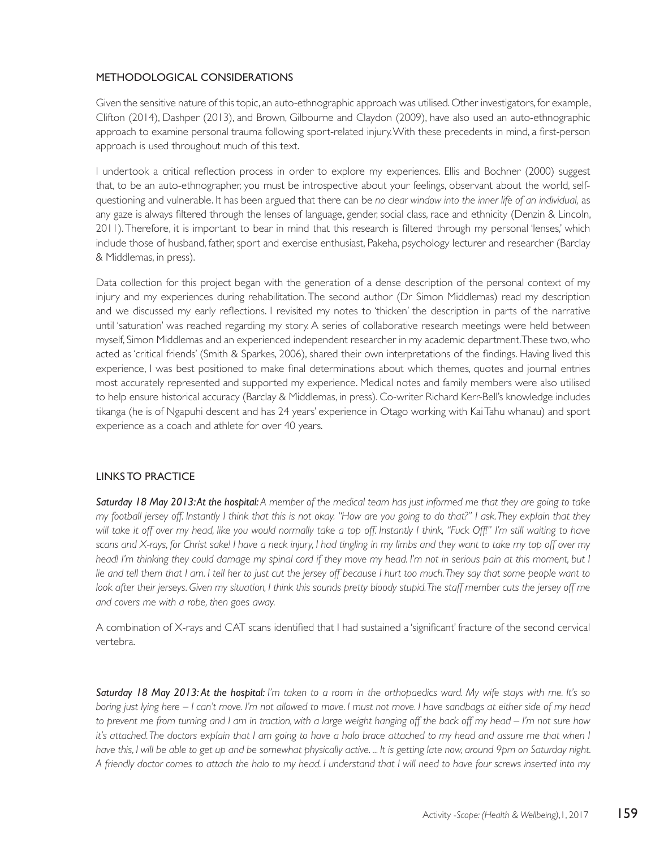### METHODOLOGICAL CONSIDERATIONS

Given the sensitive nature of this topic, an auto-ethnographic approach was utilised. Other investigators, for example, Clifton (2014), Dashper (2013), and Brown, Gilbourne and Claydon (2009), have also used an auto-ethnographic approach to examine personal trauma following sport-related injury. With these precedents in mind, a first-person approach is used throughout much of this text.

I undertook a critical reflection process in order to explore my experiences. Ellis and Bochner (2000) suggest that, to be an auto-ethnographer, you must be introspective about your feelings, observant about the world, selfquestioning and vulnerable. It has been argued that there can be *no clear window into the inner life of an individual,* as any gaze is always filtered through the lenses of language, gender, social class, race and ethnicity (Denzin & Lincoln, 2011). Therefore, it is important to bear in mind that this research is filtered through my personal 'lenses,' which include those of husband, father, sport and exercise enthusiast, Pakeha, psychology lecturer and researcher (Barclay & Middlemas, in press).

Data collection for this project began with the generation of a dense description of the personal context of my injury and my experiences during rehabilitation. The second author (Dr Simon Middlemas) read my description and we discussed my early reflections. I revisited my notes to 'thicken' the description in parts of the narrative until 'saturation' was reached regarding my story. A series of collaborative research meetings were held between myself, Simon Middlemas and an experienced independent researcher in my academic department. These two, who acted as 'critical friends' (Smith & Sparkes, 2006), shared their own interpretations of the findings. Having lived this experience, I was best positioned to make final determinations about which themes, quotes and journal entries most accurately represented and supported my experience. Medical notes and family members were also utilised to help ensure historical accuracy (Barclay & Middlemas, in press). Co-writer Richard Kerr-Bell's knowledge includes tikanga (he is of Ngapuhi descent and has 24 years' experience in Otago working with Kai Tahu whanau) and sport experience as a coach and athlete for over 40 years.

#### LINKS TO PRACTICE

*Saturday 18 May 2013: At the hospital: A member of the medical team has just informed me that they are going to take my football jersey off. Instantly I think that this is not okay. "How are you going to do that?" I ask. They explain that they will take it off over my head, like you would normally take a top off. Instantly I think, "Fuck Off!" I'm still waiting to have scans and X-rays, for Christ sake! I have a neck injury, I had tingling in my limbs and they want to take my top off over my*  head! I'm thinking they could damage my spinal cord if they move my head. I'm not in serious pain at this moment, but I *lie and tell them that I am. I tell her to just cut the jersey off because I hurt too much. They say that some people want to*  look after their jerseys. Given my situation, I think this sounds pretty bloody stupid. The staff member cuts the jersey off me *and covers me with a robe, then goes away.* 

A combination of X-rays and CAT scans identified that I had sustained a 'significant' fracture of the second cervical vertebra.

*Saturday 18 May 2013: At the hospital: I'm taken to a room in the orthopaedics ward. My wife stays with me. It's so boring just lying here – I can't move. I'm not allowed to move. I must not move. I have sandbags at either side of my head to prevent me from turning and I am in traction, with a large weight hanging off the back off my head – I'm not sure how it's attached. The doctors explain that I am going to have a halo brace attached to my head and assure me that when I have this, I will be able to get up and be somewhat physically active. ... It is getting late now, around 9pm on Saturday night. A friendly doctor comes to attach the halo to my head. I understand that I will need to have four screws inserted into my*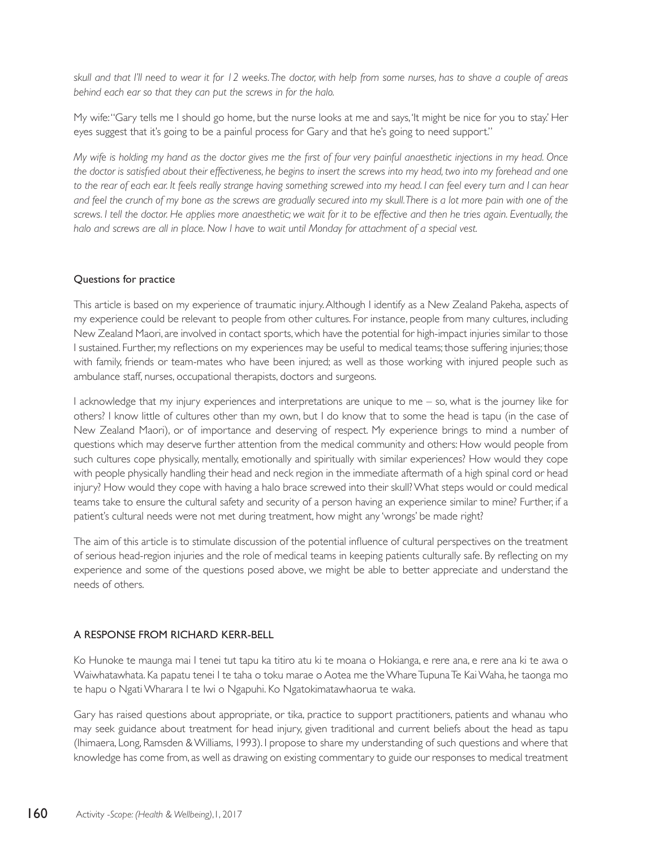*skull and that I'll need to wear it for 12 weeks. The doctor, with help from some nurses, has to shave a couple of areas behind each ear so that they can put the screws in for the halo.* 

My wife: "Gary tells me I should go home, but the nurse looks at me and says, 'It might be nice for you to stay.' Her eyes suggest that it's going to be a painful process for Gary and that he's going to need support."

*My wife is holding my hand as the doctor gives me the first of four very painful anaesthetic injections in my head. Once the doctor is satisfied about their effectiveness, he begins to insert the screws into my head, two into my forehead and one*  to the rear of each ear. It feels really strange having something screwed into my head. I can feel every turn and I can hear *and feel the crunch of my bone as the screws are gradually secured into my skull. There is a lot more pain with one of the screws. I tell the doctor. He applies more anaesthetic; we wait for it to be effective and then he tries again. Eventually, the*  halo and screws are all in place. Now I have to wait until Monday for attachment of a special vest.

#### Questions for practice

This article is based on my experience of traumatic injury. Although I identify as a New Zealand Pakeha, aspects of my experience could be relevant to people from other cultures. For instance, people from many cultures, including New Zealand Maori, are involved in contact sports, which have the potential for high-impact injuries similar to those I sustained. Further, my reflections on my experiences may be useful to medical teams; those suffering injuries; those with family, friends or team-mates who have been injured; as well as those working with injured people such as ambulance staff, nurses, occupational therapists, doctors and surgeons.

I acknowledge that my injury experiences and interpretations are unique to me – so, what is the journey like for others? I know little of cultures other than my own, but I do know that to some the head is tapu (in the case of New Zealand Maori), or of importance and deserving of respect. My experience brings to mind a number of questions which may deserve further attention from the medical community and others: How would people from such cultures cope physically, mentally, emotionally and spiritually with similar experiences? How would they cope with people physically handling their head and neck region in the immediate aftermath of a high spinal cord or head injury? How would they cope with having a halo brace screwed into their skull? What steps would or could medical teams take to ensure the cultural safety and security of a person having an experience similar to mine? Further, if a patient's cultural needs were not met during treatment, how might any 'wrongs' be made right?

The aim of this article is to stimulate discussion of the potential influence of cultural perspectives on the treatment of serious head-region injuries and the role of medical teams in keeping patients culturally safe. By reflecting on my experience and some of the questions posed above, we might be able to better appreciate and understand the needs of others.

# A RESPONSE FROM RICHARD KERR-BELL

Ko Hunoke te maunga mai I tenei tut tapu ka titiro atu ki te moana o Hokianga, e rere ana, e rere ana ki te awa o Waiwhatawhata. Ka papatu tenei I te taha o toku marae o Aotea me the Whare Tupuna Te Kai Waha, he taonga mo te hapu o Ngati Wharara I te Iwi o Ngapuhi. Ko Ngatokimatawhaorua te waka.

Gary has raised questions about appropriate, or tika, practice to support practitioners, patients and whanau who may seek guidance about treatment for head injury, given traditional and current beliefs about the head as tapu (Ihimaera, Long, Ramsden & Williams, 1993). I propose to share my understanding of such questions and where that knowledge has come from, as well as drawing on existing commentary to guide our responses to medical treatment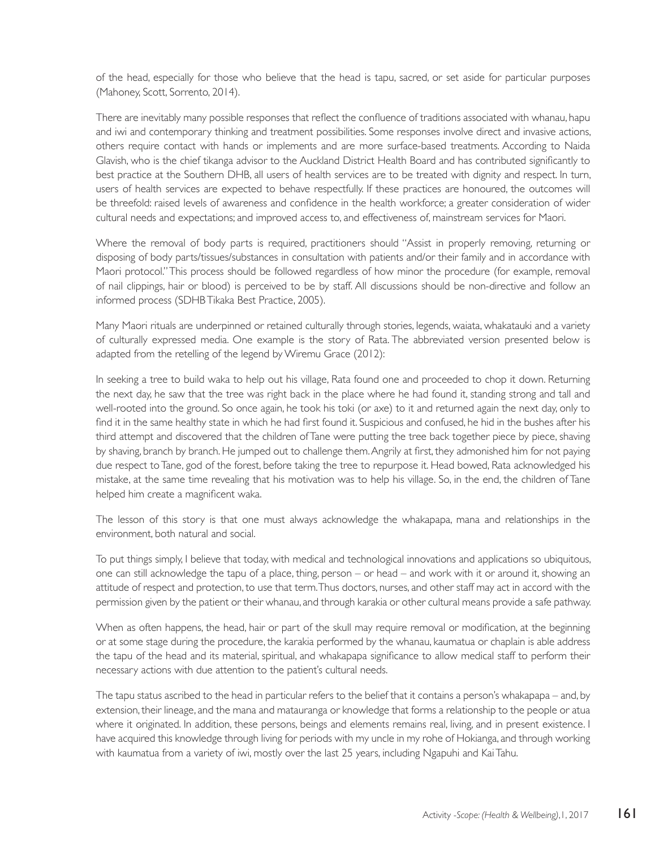of the head, especially for those who believe that the head is tapu, sacred, or set aside for particular purposes (Mahoney, Scott, Sorrento, 2014).

There are inevitably many possible responses that reflect the confluence of traditions associated with whanau, hapu and iwi and contemporary thinking and treatment possibilities. Some responses involve direct and invasive actions, others require contact with hands or implements and are more surface-based treatments. According to Naida Glavish, who is the chief tikanga advisor to the Auckland District Health Board and has contributed significantly to best practice at the Southern DHB, all users of health services are to be treated with dignity and respect. In turn, users of health services are expected to behave respectfully. If these practices are honoured, the outcomes will be threefold: raised levels of awareness and confidence in the health workforce; a greater consideration of wider cultural needs and expectations; and improved access to, and effectiveness of, mainstream services for Maori.

Where the removal of body parts is required, practitioners should "Assist in properly removing, returning or disposing of body parts/tissues/substances in consultation with patients and/or their family and in accordance with Maori protocol." This process should be followed regardless of how minor the procedure (for example, removal of nail clippings, hair or blood) is perceived to be by staff. All discussions should be non-directive and follow an informed process (SDHB Tikaka Best Practice, 2005).

Many Maori rituals are underpinned or retained culturally through stories, legends, waiata, whakatauki and a variety of culturally expressed media. One example is the story of Rata. The abbreviated version presented below is adapted from the retelling of the legend by Wiremu Grace (2012):

In seeking a tree to build waka to help out his village, Rata found one and proceeded to chop it down. Returning the next day, he saw that the tree was right back in the place where he had found it, standing strong and tall and well-rooted into the ground. So once again, he took his toki (or axe) to it and returned again the next day, only to find it in the same healthy state in which he had first found it. Suspicious and confused, he hid in the bushes after his third attempt and discovered that the children of Tane were putting the tree back together piece by piece, shaving by shaving, branch by branch. He jumped out to challenge them. Angrily at first, they admonished him for not paying due respect to Tane, god of the forest, before taking the tree to repurpose it. Head bowed, Rata acknowledged his mistake, at the same time revealing that his motivation was to help his village. So, in the end, the children of Tane helped him create a magnificent waka.

The lesson of this story is that one must always acknowledge the whakapapa, mana and relationships in the environment, both natural and social.

To put things simply, I believe that today, with medical and technological innovations and applications so ubiquitous, one can still acknowledge the tapu of a place, thing, person – or head – and work with it or around it, showing an attitude of respect and protection, to use that term. Thus doctors, nurses, and other staff may act in accord with the permission given by the patient or their whanau, and through karakia or other cultural means provide a safe pathway.

When as often happens, the head, hair or part of the skull may require removal or modification, at the beginning or at some stage during the procedure, the karakia performed by the whanau, kaumatua or chaplain is able address the tapu of the head and its material, spiritual, and whakapapa significance to allow medical staff to perform their necessary actions with due attention to the patient's cultural needs.

The tapu status ascribed to the head in particular refers to the belief that it contains a person's whakapapa – and, by extension, their lineage, and the mana and matauranga or knowledge that forms a relationship to the people or atua where it originated. In addition, these persons, beings and elements remains real, living, and in present existence. I have acquired this knowledge through living for periods with my uncle in my rohe of Hokianga, and through working with kaumatua from a variety of iwi, mostly over the last 25 years, including Ngapuhi and Kai Tahu.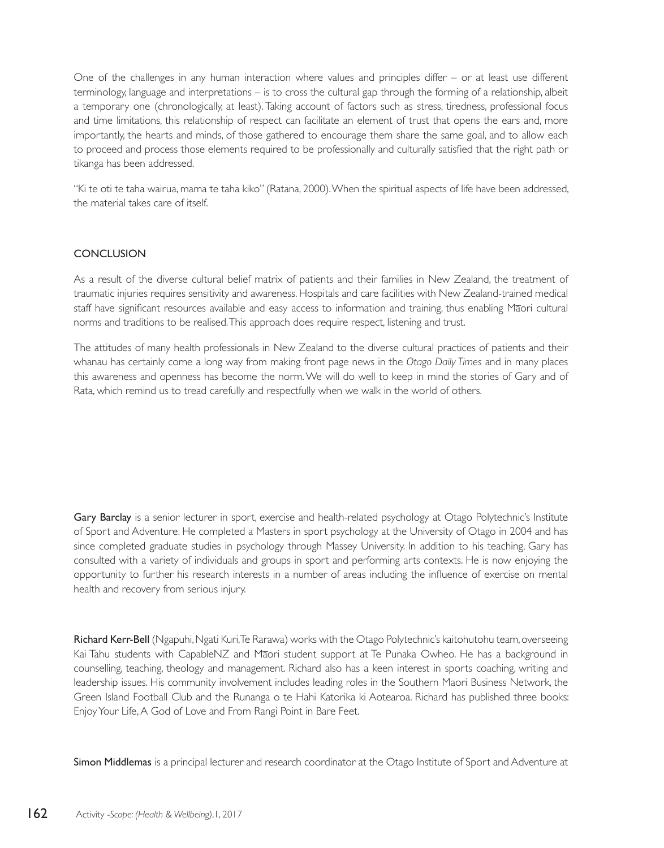One of the challenges in any human interaction where values and principles differ – or at least use different terminology, language and interpretations – is to cross the cultural gap through the forming of a relationship, albeit a temporary one (chronologically, at least). Taking account of factors such as stress, tiredness, professional focus and time limitations, this relationship of respect can facilitate an element of trust that opens the ears and, more importantly, the hearts and minds, of those gathered to encourage them share the same goal, and to allow each to proceed and process those elements required to be professionally and culturally satisfied that the right path or tikanga has been addressed.

"Ki te oti te taha wairua, mama te taha kiko" (Ratana, 2000). When the spiritual aspects of life have been addressed, the material takes care of itself.

#### **CONCLUSION**

As a result of the diverse cultural belief matrix of patients and their families in New Zealand, the treatment of traumatic injuries requires sensitivity and awareness. Hospitals and care facilities with New Zealand-trained medical staff have significant resources available and easy access to information and training, thus enabling Māori cultural norms and traditions to be realised. This approach does require respect, listening and trust.

The attitudes of many health professionals in New Zealand to the diverse cultural practices of patients and their whanau has certainly come a long way from making front page news in the *Otago Daily Times* and in many places this awareness and openness has become the norm. We will do well to keep in mind the stories of Gary and of Rata, which remind us to tread carefully and respectfully when we walk in the world of others.

Gary Barclay is a senior lecturer in sport, exercise and health-related psychology at Otago Polytechnic's Institute of Sport and Adventure. He completed a Masters in sport psychology at the University of Otago in 2004 and has since completed graduate studies in psychology through Massey University. In addition to his teaching, Gary has consulted with a variety of individuals and groups in sport and performing arts contexts. He is now enjoying the opportunity to further his research interests in a number of areas including the influence of exercise on mental health and recovery from serious injury.

Richard Kerr-Bell (Ngapuhi, Ngati Kuri, Te Rarawa) works with the Otago Polytechnic's kaitohutohu team, overseeing Kai Tahu students with CapableNZ and Māori student support at Te Punaka Owheo. He has a background in counselling, teaching, theology and management. Richard also has a keen interest in sports coaching, writing and leadership issues. His community involvement includes leading roles in the Southern Maori Business Network, the Green Island Football Club and the Runanga o te Hahi Katorika ki Aotearoa. Richard has published three books: Enjoy Your Life, A God of Love and From Rangi Point in Bare Feet.

Simon Middlemas is a principal lecturer and research coordinator at the Otago Institute of Sport and Adventure at